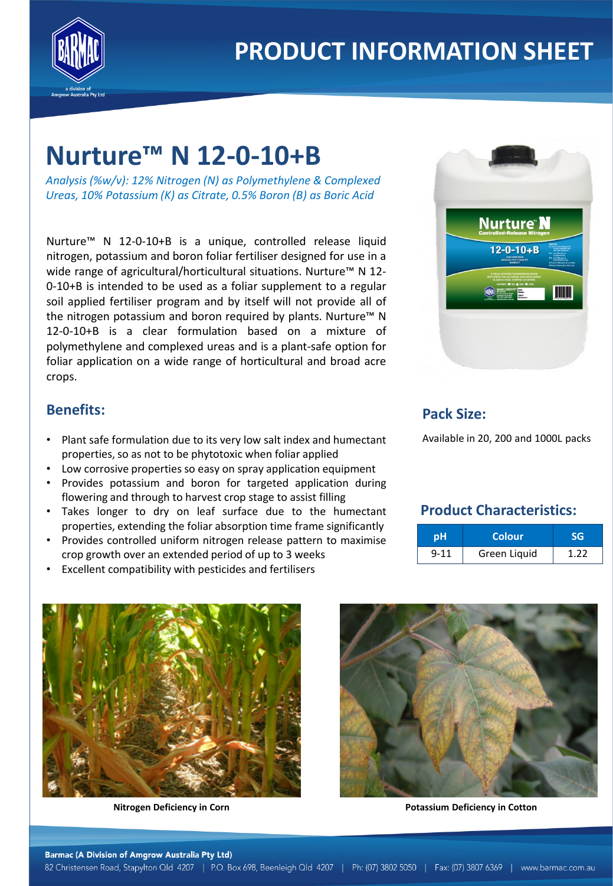

# **Nurture™ N 12-0-10+B**

*Analysis (%w/v): 12% Nitrogen (N) as Polymethylene & Complexed Ureas, 10% Potassium (K) as Citrate, 0.5% Boron (B) as Boric Acid*

Nurture™ N 12-0-10+B is a unique, controlled release liquid nitrogen, potassium and boron foliar fertiliser designed for use in a wide range of agricultural/horticultural situations. Nurture<sup>™</sup> N 12-0-10+B is intended to be used as a foliar supplement to a regular soil applied fertiliser program and by itself will not provide all of the nitrogen potassium and boron required by plants. Nurture™ N 12-0-10+B is a clear formulation based on a mixture of polymethylene and complexed ureas and is a plant-safe option for foliar application on a wide range of horticultural and broad acre crops.

#### **Benefits:**

- Plant safe formulation due to its very low salt index and humectant properties, so as not to be phytotoxic when foliar applied
- Low corrosive properties so easy on spray application equipment
- Provides potassium and boron for targeted application during flowering and through to harvest crop stage to assist filling
- Takes longer to dry on leaf surface due to the humectant properties, extending the foliar absorption time frame significantly
- Provides controlled uniform nitrogen release pattern to maximise crop growth over an extended period of up to 3 weeks
- Excellent compatibility with pesticides and fertilisers



#### **Pack Size:**

Available in 20, 200 and 1000L packs

### **Product Characteristics:**

| рH       | <b>Colour</b> |       |
|----------|---------------|-------|
| $9 - 11$ | Green Liquid  | 1 7 7 |





**Nitrogen Deficiency in Corn Potassium Deficiency in Cotton**